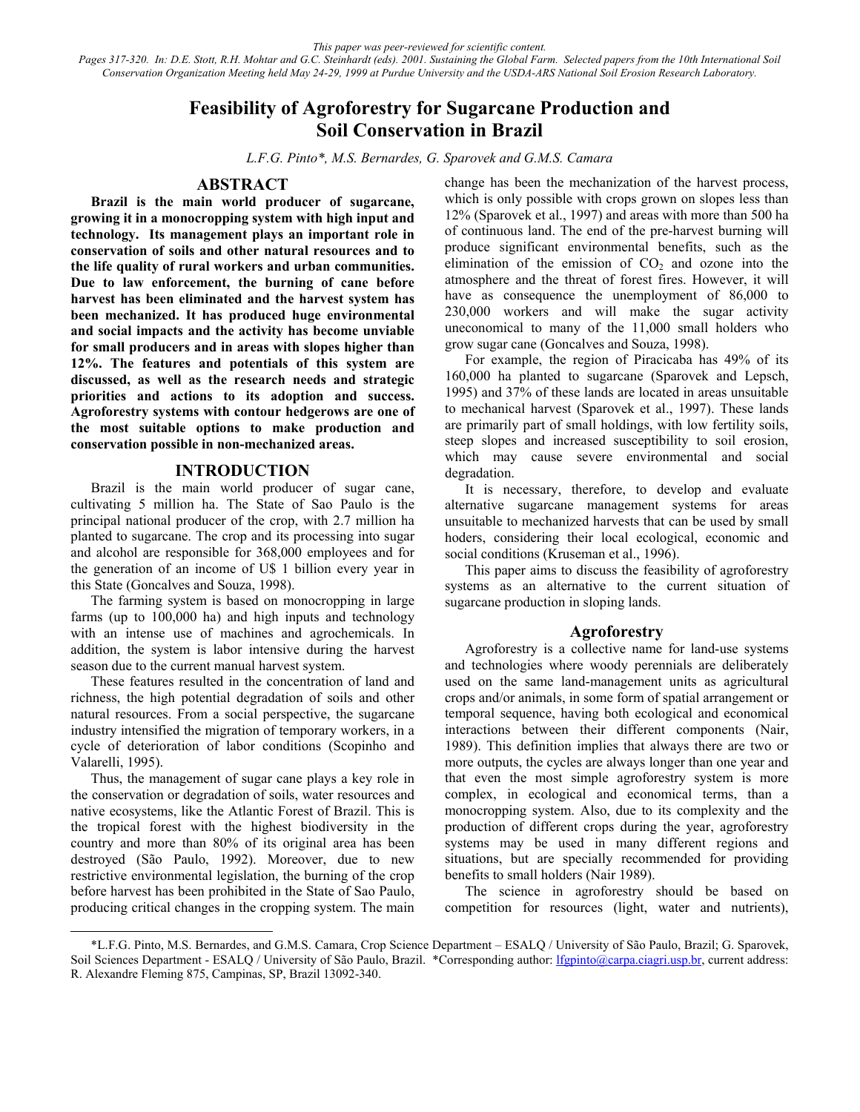*This paper was peer-reviewed for scientific content. Pages 317-320. In: D.E. Stott, R.H. Mohtar and G.C. Steinhardt (eds). 2001. Sustaining the Global Farm. Selected papers from the 10th International Soil Conservation Organization Meeting held May 24-29, 1999 at Purdue University and the USDA-ARS National Soil Erosion Research Laboratory.*

# **Feasibility of Agroforestry for Sugarcane Production and Soil Conservation in Brazil**

*L.F.G. Pinto\*, M.S. Bernardes, G. Sparovek and G.M.S. Camara* 

#### **ABSTRACT**

**Brazil is the main world producer of sugarcane, growing it in a monocropping system with high input and technology. Its management plays an important role in conservation of soils and other natural resources and to the life quality of rural workers and urban communities. Due to law enforcement, the burning of cane before harvest has been eliminated and the harvest system has been mechanized. It has produced huge environmental and social impacts and the activity has become unviable for small producers and in areas with slopes higher than 12%. The features and potentials of this system are discussed, as well as the research needs and strategic priorities and actions to its adoption and success. Agroforestry systems with contour hedgerows are one of the most suitable options to make production and conservation possible in non-mechanized areas.** 

#### **INTRODUCTION**

Brazil is the main world producer of sugar cane, cultivating 5 million ha. The State of Sao Paulo is the principal national producer of the crop, with 2.7 million ha planted to sugarcane. The crop and its processing into sugar and alcohol are responsible for 368,000 employees and for the generation of an income of U\$ 1 billion every year in this State (Goncalves and Souza, 1998).

The farming system is based on monocropping in large farms (up to 100,000 ha) and high inputs and technology with an intense use of machines and agrochemicals. In addition, the system is labor intensive during the harvest season due to the current manual harvest system.

These features resulted in the concentration of land and richness, the high potential degradation of soils and other natural resources. From a social perspective, the sugarcane industry intensified the migration of temporary workers, in a cycle of deterioration of labor conditions (Scopinho and Valarelli, 1995).

Thus, the management of sugar cane plays a key role in the conservation or degradation of soils, water resources and native ecosystems, like the Atlantic Forest of Brazil. This is the tropical forest with the highest biodiversity in the country and more than 80% of its original area has been destroyed (São Paulo, 1992). Moreover, due to new restrictive environmental legislation, the burning of the crop before harvest has been prohibited in the State of Sao Paulo, producing critical changes in the cropping system. The main

l

change has been the mechanization of the harvest process, which is only possible with crops grown on slopes less than 12% (Sparovek et al., 1997) and areas with more than 500 ha of continuous land. The end of the pre-harvest burning will produce significant environmental benefits, such as the elimination of the emission of  $CO<sub>2</sub>$  and ozone into the atmosphere and the threat of forest fires. However, it will have as consequence the unemployment of 86,000 to 230,000 workers and will make the sugar activity uneconomical to many of the 11,000 small holders who grow sugar cane (Goncalves and Souza, 1998).

For example, the region of Piracicaba has 49% of its 160,000 ha planted to sugarcane (Sparovek and Lepsch, 1995) and 37% of these lands are located in areas unsuitable to mechanical harvest (Sparovek et al., 1997). These lands are primarily part of small holdings, with low fertility soils, steep slopes and increased susceptibility to soil erosion, which may cause severe environmental and social degradation.

It is necessary, therefore, to develop and evaluate alternative sugarcane management systems for areas unsuitable to mechanized harvests that can be used by small hoders, considering their local ecological, economic and social conditions (Kruseman et al., 1996).

This paper aims to discuss the feasibility of agroforestry systems as an alternative to the current situation of sugarcane production in sloping lands.

### **Agroforestry**

Agroforestry is a collective name for land-use systems and technologies where woody perennials are deliberately used on the same land-management units as agricultural crops and/or animals, in some form of spatial arrangement or temporal sequence, having both ecological and economical interactions between their different components (Nair, 1989). This definition implies that always there are two or more outputs, the cycles are always longer than one year and that even the most simple agroforestry system is more complex, in ecological and economical terms, than a monocropping system. Also, due to its complexity and the production of different crops during the year, agroforestry systems may be used in many different regions and situations, but are specially recommended for providing benefits to small holders (Nair 1989).

The science in agroforestry should be based on competition for resources (light, water and nutrients),

<sup>\*</sup>L.F.G. Pinto, M.S. Bernardes, and G.M.S. Camara, Crop Science Department – ESALQ / University of São Paulo, Brazil; G. Sparovek, Soil Sciences Department - ESALO / University of São Paulo, Brazil. \*Corresponding author: lfgpinto@carpa.ciagri.usp.br, current address: R. Alexandre Fleming 875, Campinas, SP, Brazil 13092-340.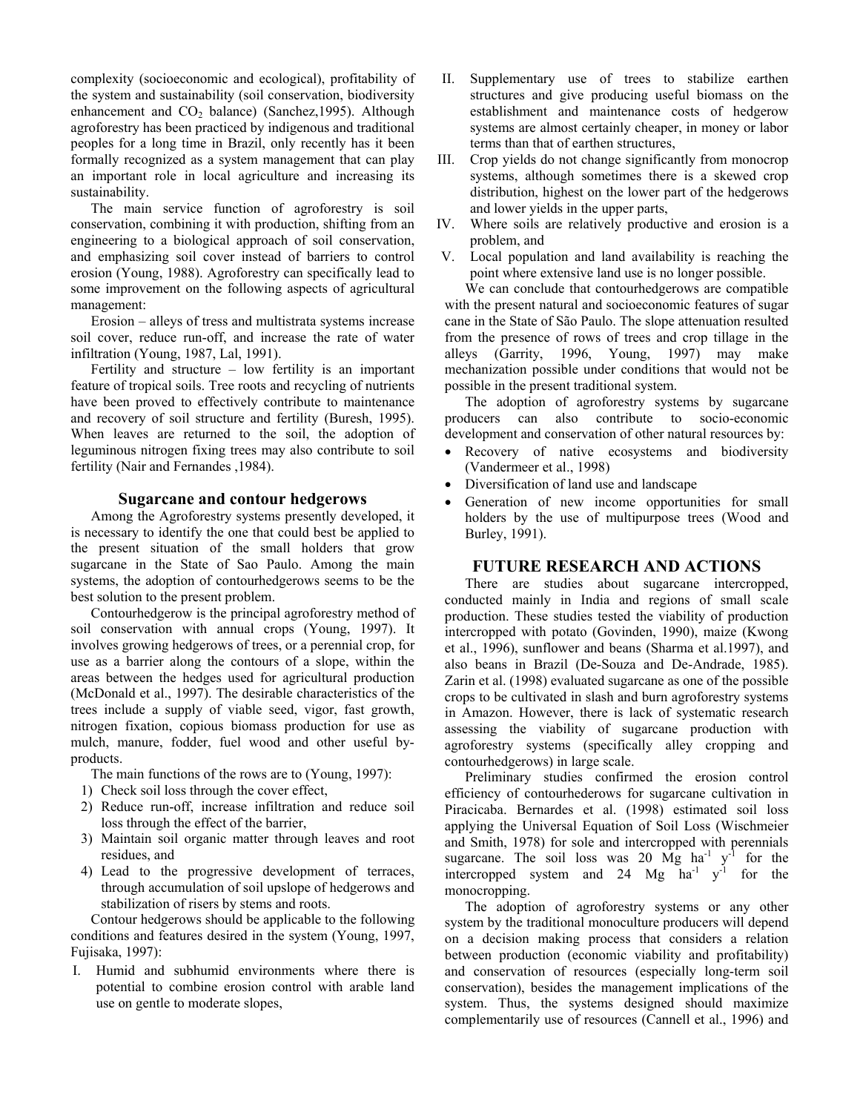complexity (socioeconomic and ecological), profitability of the system and sustainability (soil conservation, biodiversity enhancement and  $CO<sub>2</sub>$  balance) (Sanchez, 1995). Although agroforestry has been practiced by indigenous and traditional peoples for a long time in Brazil, only recently has it been formally recognized as a system management that can play an important role in local agriculture and increasing its sustainability.

The main service function of agroforestry is soil conservation, combining it with production, shifting from an engineering to a biological approach of soil conservation, and emphasizing soil cover instead of barriers to control erosion (Young, 1988). Agroforestry can specifically lead to some improvement on the following aspects of agricultural management:

Erosion – alleys of tress and multistrata systems increase soil cover, reduce run-off, and increase the rate of water infiltration (Young, 1987, Lal, 1991).

Fertility and structure – low fertility is an important feature of tropical soils. Tree roots and recycling of nutrients have been proved to effectively contribute to maintenance and recovery of soil structure and fertility (Buresh, 1995). When leaves are returned to the soil, the adoption of leguminous nitrogen fixing trees may also contribute to soil fertility (Nair and Fernandes ,1984).

### **Sugarcane and contour hedgerows**

Among the Agroforestry systems presently developed, it is necessary to identify the one that could best be applied to the present situation of the small holders that grow sugarcane in the State of Sao Paulo. Among the main systems, the adoption of contourhedgerows seems to be the best solution to the present problem.

Contourhedgerow is the principal agroforestry method of soil conservation with annual crops (Young, 1997). It involves growing hedgerows of trees, or a perennial crop, for use as a barrier along the contours of a slope, within the areas between the hedges used for agricultural production (McDonald et al., 1997). The desirable characteristics of the trees include a supply of viable seed, vigor, fast growth, nitrogen fixation, copious biomass production for use as mulch, manure, fodder, fuel wood and other useful byproducts.

The main functions of the rows are to (Young, 1997):

- 1) Check soil loss through the cover effect,
- 2) Reduce run-off, increase infiltration and reduce soil loss through the effect of the barrier,
- 3) Maintain soil organic matter through leaves and root residues, and
- 4) Lead to the progressive development of terraces, through accumulation of soil upslope of hedgerows and stabilization of risers by stems and roots.

Contour hedgerows should be applicable to the following conditions and features desired in the system (Young, 1997, Fujisaka, 1997):

I. Humid and subhumid environments where there is potential to combine erosion control with arable land use on gentle to moderate slopes,

- II. Supplementary use of trees to stabilize earthen structures and give producing useful biomass on the establishment and maintenance costs of hedgerow systems are almost certainly cheaper, in money or labor terms than that of earthen structures,
- III. Crop yields do not change significantly from monocrop systems, although sometimes there is a skewed crop distribution, highest on the lower part of the hedgerows and lower yields in the upper parts,
- IV. Where soils are relatively productive and erosion is a problem, and
- V. Local population and land availability is reaching the point where extensive land use is no longer possible.

We can conclude that contourhedgerows are compatible with the present natural and socioeconomic features of sugar cane in the State of São Paulo. The slope attenuation resulted from the presence of rows of trees and crop tillage in the alleys (Garrity, 1996, Young, 1997) may make mechanization possible under conditions that would not be possible in the present traditional system.

The adoption of agroforestry systems by sugarcane producers can also contribute to socio-economic development and conservation of other natural resources by:

- Recovery of native ecosystems and biodiversity (Vandermeer et al., 1998)
- Diversification of land use and landscape
- Generation of new income opportunities for small holders by the use of multipurpose trees (Wood and Burley, 1991).

## **FUTURE RESEARCH AND ACTIONS**

There are studies about sugarcane intercropped, conducted mainly in India and regions of small scale production. These studies tested the viability of production intercropped with potato (Govinden, 1990), maize (Kwong et al., 1996), sunflower and beans (Sharma et al.1997), and also beans in Brazil (De-Souza and De-Andrade, 1985). Zarin et al. (1998) evaluated sugarcane as one of the possible crops to be cultivated in slash and burn agroforestry systems in Amazon. However, there is lack of systematic research assessing the viability of sugarcane production with agroforestry systems (specifically alley cropping and contourhedgerows) in large scale.

Preliminary studies confirmed the erosion control efficiency of contourhederows for sugarcane cultivation in Piracicaba. Bernardes et al. (1998) estimated soil loss applying the Universal Equation of Soil Loss (Wischmeier and Smith, 1978) for sole and intercropped with perennials sugarcane. The soil loss was 20  $\overrightarrow{Mg}$  ha<sup>-1</sup> y<sup>-1</sup> for the intercropped system and 24 Mg  $ha^{-1}$  y<sup>-1</sup> for the monocropping.

The adoption of agroforestry systems or any other system by the traditional monoculture producers will depend on a decision making process that considers a relation between production (economic viability and profitability) and conservation of resources (especially long-term soil conservation), besides the management implications of the system. Thus, the systems designed should maximize complementarily use of resources (Cannell et al., 1996) and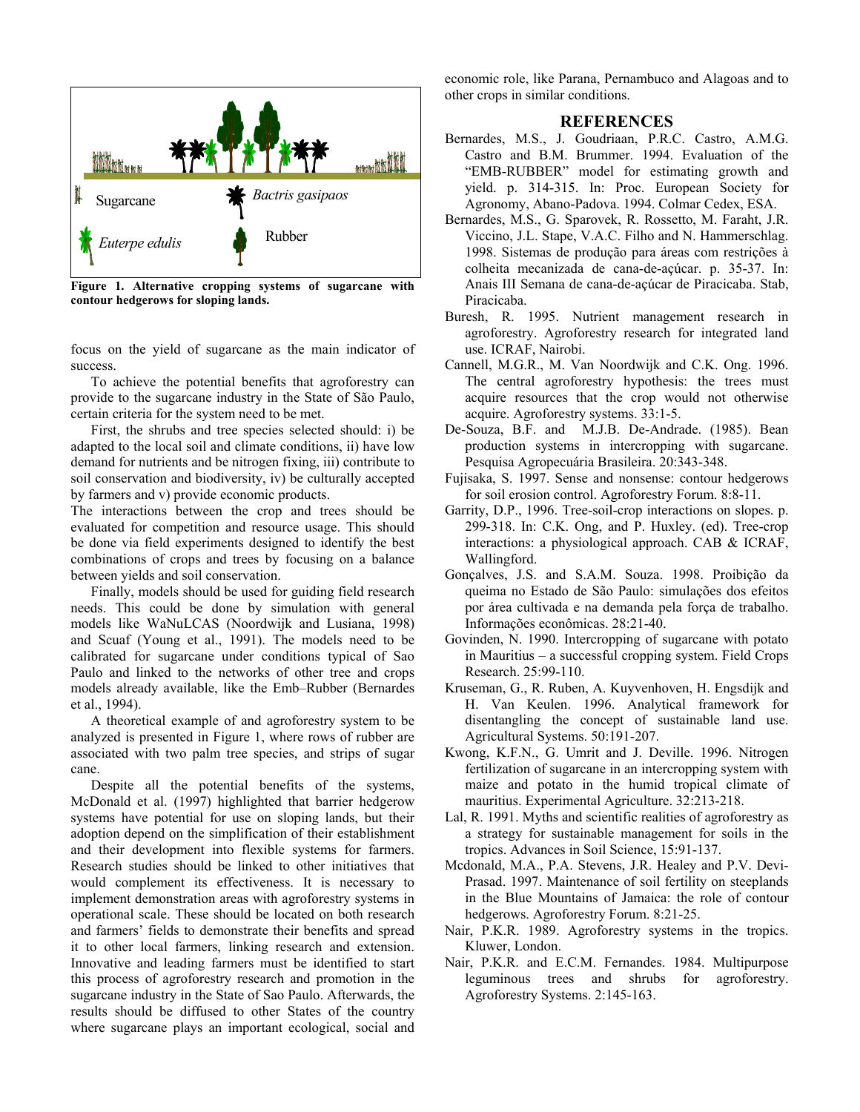

**Figure 1. Alternative cropping systems of sugarcane with contour hedgerows for sloping lands.** 

focus on the yield of sugarcane as the main indicator of success.

To achieve the potential benefits that agroforestry can provide to the sugarcane industry in the State of São Paulo, certain criteria for the system need to be met.

First, the shrubs and tree species selected should: i) be adapted to the local soil and climate conditions, ii) have low demand for nutrients and be nitrogen fixing, iii) contribute to soil conservation and biodiversity, iv) be culturally accepted by farmers and v) provide economic products.

The interactions between the crop and trees should be evaluated for competition and resource usage. This should be done via field experiments designed to identify the best combinations of crops and trees by focusing on a balance between yields and soil conservation.

Finally, models should be used for guiding field research needs. This could be done by simulation with general models like WaNuLCAS (Noordwijk and Lusiana, 1998) and Scuaf (Young et al., 1991). The models need to be calibrated for sugarcane under conditions typical of Sao Paulo and linked to the networks of other tree and crops models already available, like the Emb–Rubber (Bernardes et al., 1994).

A theoretical example of and agroforestry system to be analyzed is presented in Figure 1, where rows of rubber are associated with two palm tree species, and strips of sugar cane.

Despite all the potential benefits of the systems, McDonald et al. (1997) highlighted that barrier hedgerow systems have potential for use on sloping lands, but their adoption depend on the simplification of their establishment and their development into flexible systems for farmers. Research studies should be linked to other initiatives that would complement its effectiveness. It is necessary to implement demonstration areas with agroforestry systems in operational scale. These should be located on both research and farmers' fields to demonstrate their benefits and spread it to other local farmers, linking research and extension. Innovative and leading farmers must be identified to start this process of agroforestry research and promotion in the sugarcane industry in the State of Sao Paulo. Afterwards, the results should be diffused to other States of the country where sugarcane plays an important ecological, social and

economic role, like Parana, Pernambuco and Alagoas and to other crops in similar conditions.

## **REFERENCES**

- Bernardes, M.S., J. Goudriaan, P.R.C. Castro, A.M.G. Castro and B.M. Brummer. 1994. Evaluation of the "EMB-RUBBER" model for estimating growth and yield. p. 314-315. In: Proc. European Society for Agronomy, Abano-Padova. 1994. Colmar Cedex, ESA.
- Bernardes, M.S., G. Sparovek, R. Rossetto, M. Faraht, J.R. Viccino, J.L. Stape, V.A.C. Filho and N. Hammerschlag. 1998. Sistemas de produção para áreas com restrições à colheita mecanizada de cana-de-açúcar. p. 35-37. In: Anais III Semana de cana-de-açúcar de Piracicaba. Stab, Piracicaba.
- Buresh, R. 1995. Nutrient management research in agroforestry. Agroforestry research for integrated land use. ICRAF, Nairobi.
- Cannell, M.G.R., M. Van Noordwijk and C.K. Ong. 1996. The central agroforestry hypothesis: the trees must acquire resources that the crop would not otherwise acquire. Agroforestry systems. 33:1-5.
- De-Souza, B.F. and M.J.B. De-Andrade. (1985). Bean production systems in intercropping with sugarcane. Pesquisa Agropecuária Brasileira. 20:343-348.
- Fujisaka, S. 1997. Sense and nonsense: contour hedgerows for soil erosion control. Agroforestry Forum. 8:8-11.
- Garrity, D.P., 1996. Tree-soil-crop interactions on slopes. p. 299-318. In: C.K. Ong, and P. Huxley. (ed). Tree-crop interactions: a physiological approach. CAB & ICRAF, Wallingford.
- Gonçalves, J.S. and S.A.M. Souza. 1998. Proibição da queima no Estado de São Paulo: simulações dos efeitos por área cultivada e na demanda pela força de trabalho. Informações econômicas. 28:21-40.
- Govinden, N. 1990. Intercropping of sugarcane with potato in Mauritius – a successful cropping system. Field Crops Research. 25:99-110.
- Kruseman, G., R. Ruben, A. Kuyvenhoven, H. Engsdijk and H. Van Keulen. 1996. Analytical framework for disentangling the concept of sustainable land use. Agricultural Systems. 50:191-207.
- Kwong, K.F.N., G. Umrit and J. Deville. 1996. Nitrogen fertilization of sugarcane in an intercropping system with maize and potato in the humid tropical climate of mauritius. Experimental Agriculture. 32:213-218.
- Lal, R. 1991. Myths and scientific realities of agroforestry as a strategy for sustainable management for soils in the tropics. Advances in Soil Science, 15:91-137.
- Mcdonald, M.A., P.A. Stevens, J.R. Healey and P.V. Devi-Prasad. 1997. Maintenance of soil fertility on steeplands in the Blue Mountains of Jamaica: the role of contour hedgerows. Agroforestry Forum. 8:21-25.
- Nair, P.K.R. 1989. Agroforestry systems in the tropics. Kluwer, London.
- Nair, P.K.R. and E.C.M. Fernandes. 1984. Multipurpose leguminous trees and shrubs for agroforestry. Agroforestry Systems. 2:145-163.